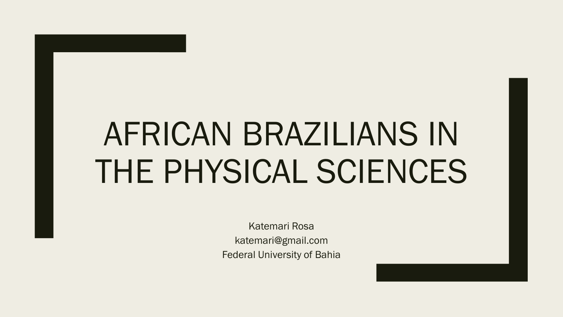### AFRICAN BRAZILIANS IN THE PHYSICAL SCIENCES

Katemari Rosa katemari@gmail.com Federal University of Bahia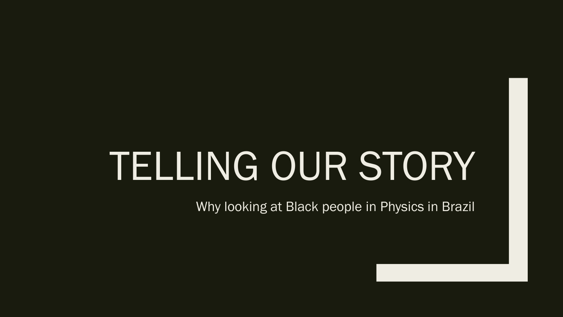# TELLING OUR STORY

Why looking at Black people in Physics in Brazil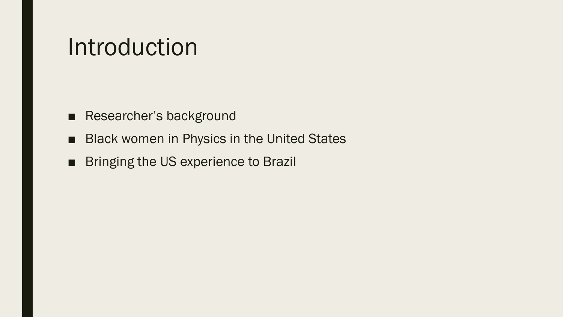#### Introduction

- Researcher's background
- Black women in Physics in the United States
- Bringing the US experience to Brazil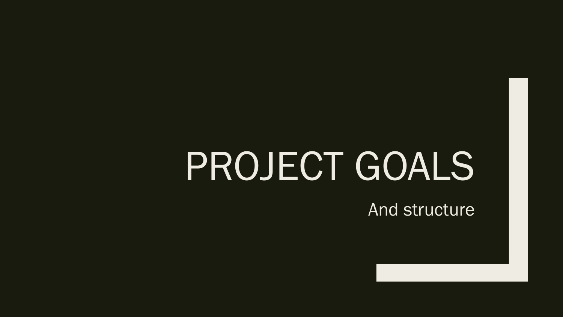### PROJECT GOALS

**And structure**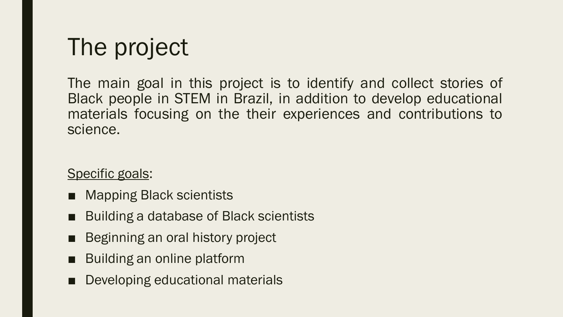### The project

The main goal in this project is to identify and collect stories of Black people in STEM in Brazil, in addition to develop educational materials focusing on the their experiences and contributions to science.

#### Specific goals:

- Mapping Black scientists
- Building a database of Black scientists
- Beginning an oral history project
- Building an online platform
- Developing educational materials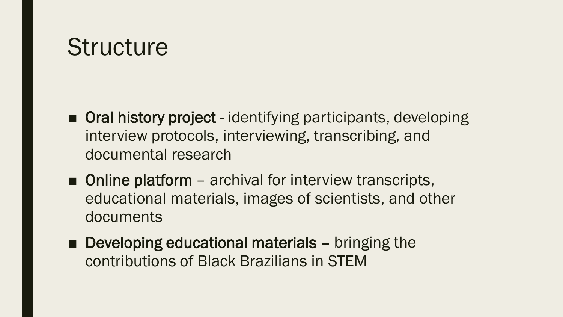### **Structure**

- Oral history project identifying participants, developing interview protocols, interviewing, transcribing, and documental research
- Online platform archival for interview transcripts, educational materials, images of scientists, and other documents
- Developing educational materials bringing the contributions of Black Brazilians in STEM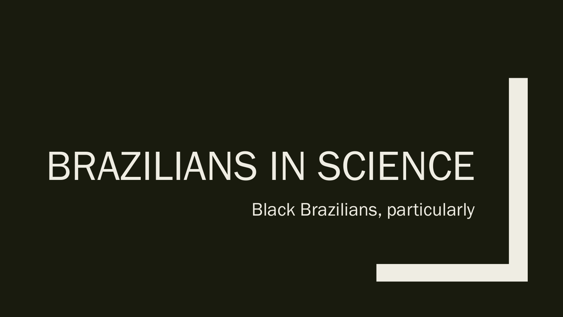# BRAZILIANS IN SCIENCE

Black Brazilians, particularly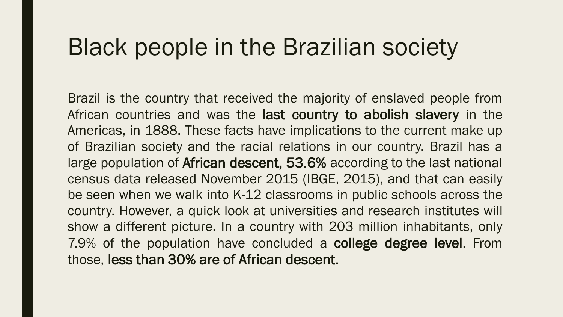### Black people in the Brazilian society

Brazil is the country that received the majority of enslaved people from African countries and was the last country to abolish slavery in the Americas, in 1888. These facts have implications to the current make up of Brazilian society and the racial relations in our country. Brazil has a large population of African descent, 53.6% according to the last national census data released November 2015 (IBGE, 2015), and that can easily be seen when we walk into K-12 classrooms in public schools across the country. However, a quick look at universities and research institutes will show a different picture. In a country with 203 million inhabitants, only 7.9% of the population have concluded a college degree level. From those, less than 30% are of African descent.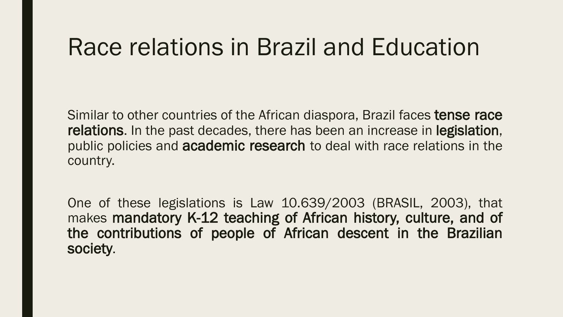### Race relations in Brazil and Education

Similar to other countries of the African diaspora, Brazil faces **tense race** relations. In the past decades, there has been an increase in legislation, public policies and **academic research** to deal with race relations in the country.

One of these legislations is Law 10.639/2003 (BRASIL, 2003), that makes mandatory K-12 teaching of African history, culture, and of the contributions of people of African descent in the Brazilian society.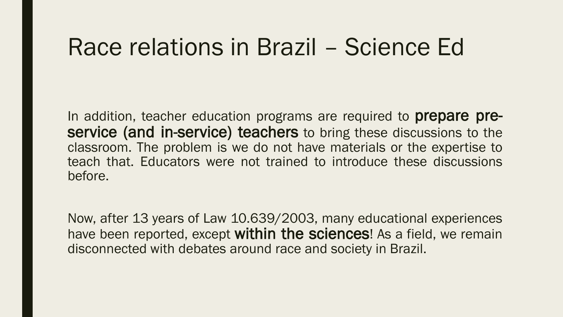#### Race relations in Brazil – Science Ed

In addition, teacher education programs are required to **prepare pre**service (and in-service) teachers to bring these discussions to the classroom. The problem is we do not have materials or the expertise to teach that. Educators were not trained to introduce these discussions before.

Now, after 13 years of Law 10.639/2003, many educational experiences have been reported, except within the sciences! As a field, we remain disconnected with debates around race and society in Brazil.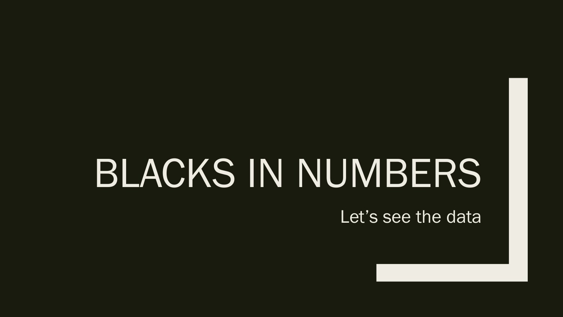### BLACKS IN NUMBERS

Let's see the data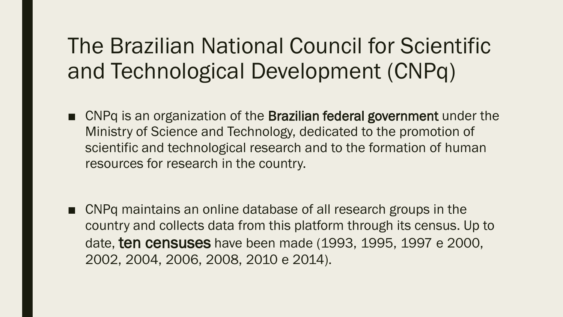#### The Brazilian National Council for Scientific and Technological Development (CNPq)

- CNPq is an organization of the **Brazilian federal government** under the Ministry of Science and Technology, dedicated to the promotion of scientific and technological research and to the formation of human resources for research in the country.
- CNPq maintains an online database of all research groups in the country and collects data from this platform through its census. Up to date, ten censuses have been made (1993, 1995, 1997 e 2000, 2002, 2004, 2006, 2008, 2010 e 2014).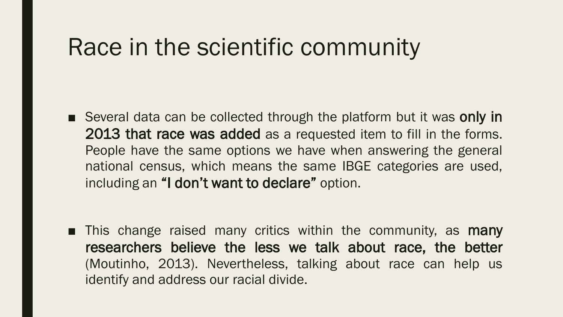### Race in the scientific community

■ Several data can be collected through the platform but it was only in 2013 that race was added as a requested item to fill in the forms. People have the same options we have when answering the general national census, which means the same IBGE categories are used, including an "I don't want to declare" option.

■ This change raised many critics within the community, as **many** researchers believe the less we talk about race, the better (Moutinho, 2013). Nevertheless, talking about race can help us identify and address our racial divide.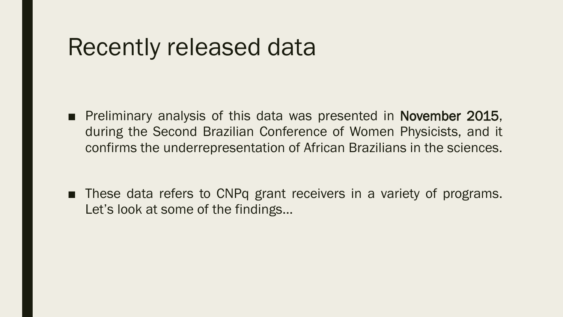#### Recently released data

- Preliminary analysis of this data was presented in November 2015, during the Second Brazilian Conference of Women Physicists, and it confirms the underrepresentation of African Brazilians in the sciences.
- These data refers to CNPq grant receivers in a variety of programs. Let's look at some of the findings…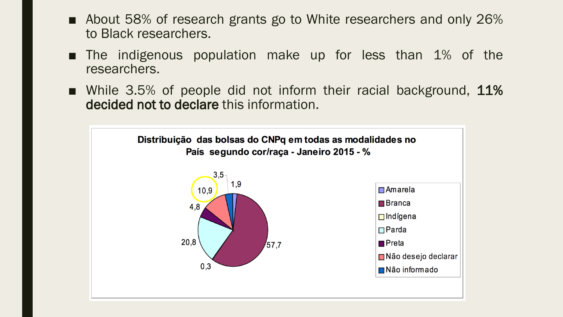- About 58% of research grants go to White researchers and only 26% to Black researchers.
- The indigenous population make up for less than 1% of the researchers.
- While 3.5% of people did not inform their racial background, 11% decided not to declare this information.

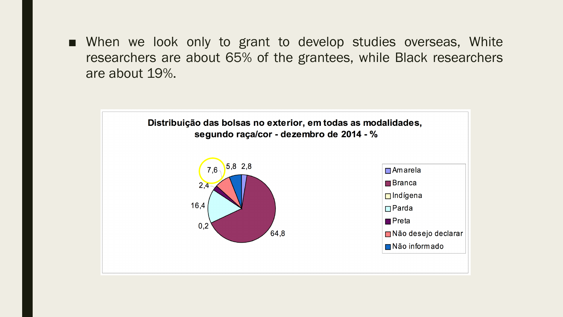■ When we look only to grant to develop studies overseas, White researchers are about 65% of the grantees, while Black researchers are about 19%.

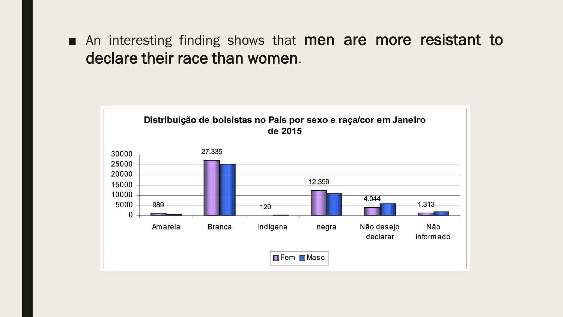■ An interesting finding shows that men are more resistant to declare their race than women.

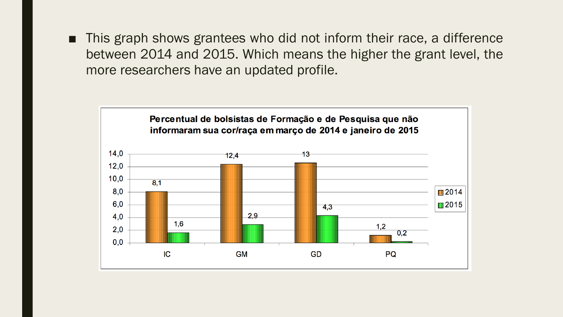■ This graph shows grantees who did not inform their race, a difference between 2014 and 2015. Which means the higher the grant level, the more researchers have an updated profile.

![](_page_17_Figure_1.jpeg)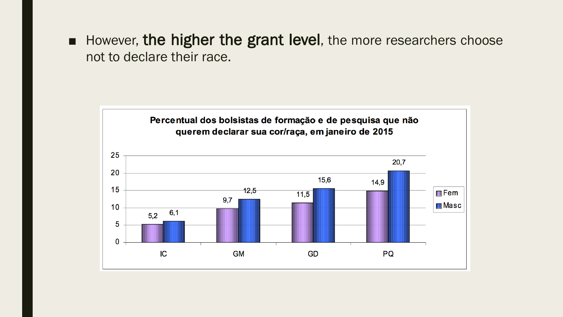■ However, the higher the grant level, the more researchers choose not to declare their race.

![](_page_18_Figure_1.jpeg)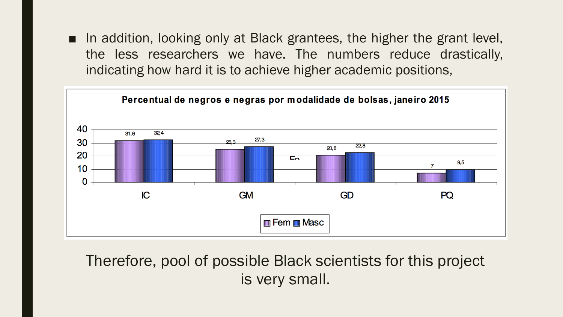■ In addition, looking only at Black grantees, the higher the grant level, the less researchers we have. The numbers reduce drastically, indicating how hard it is to achieve higher academic positions,

![](_page_19_Figure_1.jpeg)

Therefore, pool of possible Black scientists for this project is very small.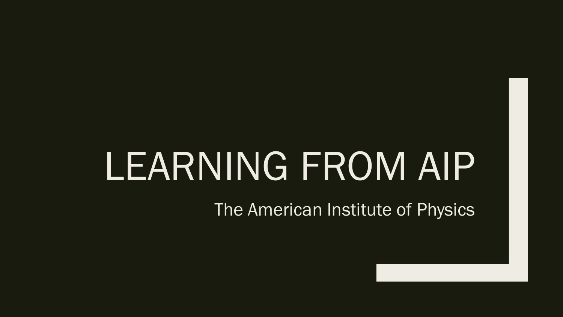### LEARNING FROM AIP

The American Institute of Physics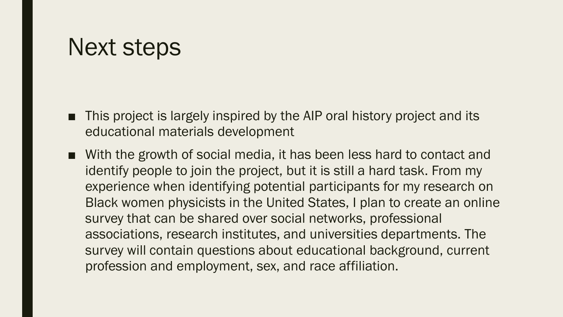#### Next steps

- This project is largely inspired by the AIP oral history project and its educational materials development
- With the growth of social media, it has been less hard to contact and identify people to join the project, but it is still a hard task. From my experience when identifying potential participants for my research on Black women physicists in the United States, I plan to create an online survey that can be shared over social networks, professional associations, research institutes, and universities departments. The survey will contain questions about educational background, current profession and employment, sex, and race affiliation.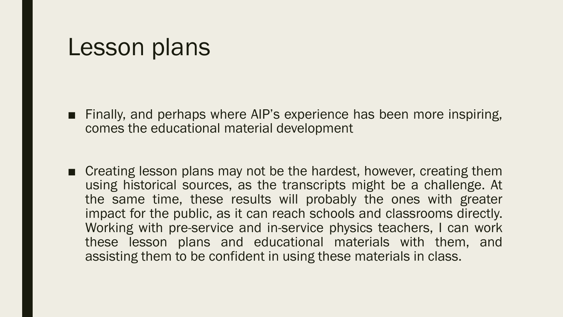#### Lesson plans

- Finally, and perhaps where AIP's experience has been more inspiring, comes the educational material development
- Creating lesson plans may not be the hardest, however, creating them using historical sources, as the transcripts might be a challenge. At the same time, these results will probably the ones with greater impact for the public, as it can reach schools and classrooms directly. Working with pre-service and in-service physics teachers, I can work these lesson plans and educational materials with them, and assisting them to be confident in using these materials in class.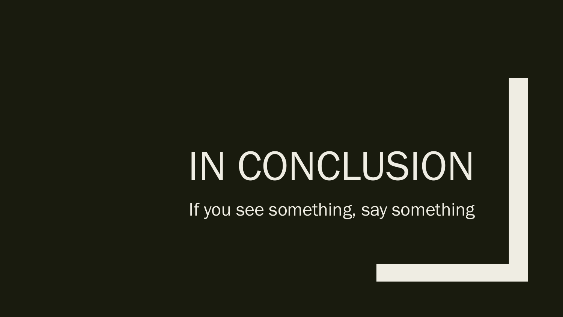# IN CONCLUSION

If you see something, say something